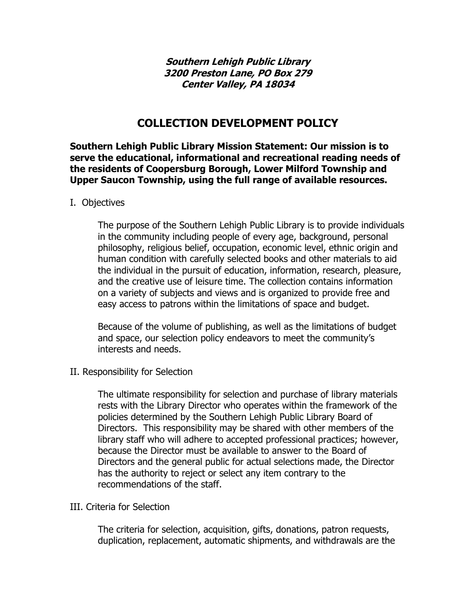**Southern Lehigh Public Library 3200 Preston Lane, PO Box 279 Center Valley, PA 18034** 

# **COLLECTION DEVELOPMENT POLICY**

**Southern Lehigh Public Library Mission Statement: Our mission is to serve the educational, informational and recreational reading needs of the residents of Coopersburg Borough, Lower Milford Township and Upper Saucon Township, using the full range of available resources.** 

### I. Objectives

The purpose of the Southern Lehigh Public Library is to provide individuals in the community including people of every age, background, personal philosophy, religious belief, occupation, economic level, ethnic origin and human condition with carefully selected books and other materials to aid the individual in the pursuit of education, information, research, pleasure, and the creative use of leisure time. The collection contains information on a variety of subjects and views and is organized to provide free and easy access to patrons within the limitations of space and budget.

Because of the volume of publishing, as well as the limitations of budget and space, our selection policy endeavors to meet the community's interests and needs.

II. Responsibility for Selection

The ultimate responsibility for selection and purchase of library materials rests with the Library Director who operates within the framework of the policies determined by the Southern Lehigh Public Library Board of Directors. This responsibility may be shared with other members of the library staff who will adhere to accepted professional practices; however, because the Director must be available to answer to the Board of Directors and the general public for actual selections made, the Director has the authority to reject or select any item contrary to the recommendations of the staff.

### III. Criteria for Selection

The criteria for selection, acquisition, gifts, donations, patron requests, duplication, replacement, automatic shipments, and withdrawals are the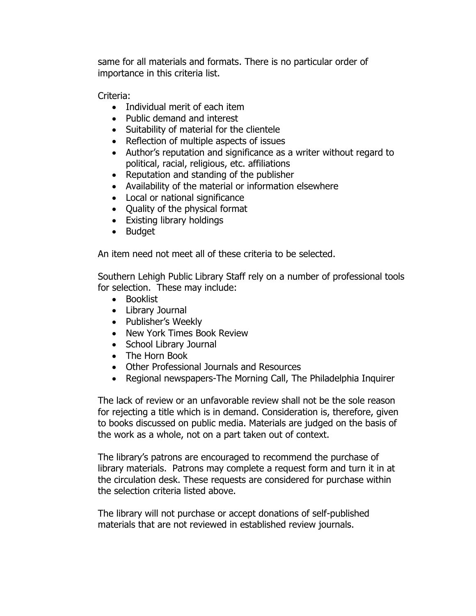same for all materials and formats. There is no particular order of importance in this criteria list.

Criteria:

- Individual merit of each item
- Public demand and interest
- Suitability of material for the clientele
- Reflection of multiple aspects of issues
- Author's reputation and significance as a writer without regard to political, racial, religious, etc. affiliations
- Reputation and standing of the publisher
- Availability of the material or information elsewhere
- Local or national significance
- Quality of the physical format
- Existing library holdings
- Budget

An item need not meet all of these criteria to be selected.

Southern Lehigh Public Library Staff rely on a number of professional tools for selection. These may include:

- Booklist
- Library Journal
- Publisher's Weekly
- New York Times Book Review
- School Library Journal
- The Horn Book
- Other Professional Journals and Resources
- Regional newspapers-The Morning Call, The Philadelphia Inquirer

The lack of review or an unfavorable review shall not be the sole reason for rejecting a title which is in demand. Consideration is, therefore, given to books discussed on public media. Materials are judged on the basis of the work as a whole, not on a part taken out of context.

The library's patrons are encouraged to recommend the purchase of library materials. Patrons may complete a request form and turn it in at the circulation desk. These requests are considered for purchase within the selection criteria listed above.

The library will not purchase or accept donations of self-published materials that are not reviewed in established review journals.